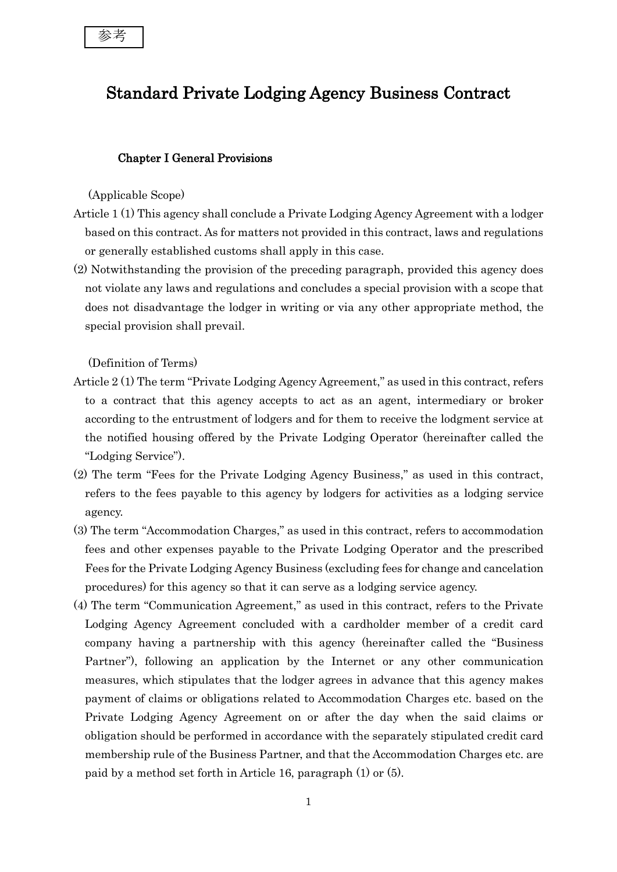# Standard Private Lodging Agency Business Contract

# Chapter I General Provisions

#### (Applicable Scope)

- Article 1 (1) This agency shall conclude a Private Lodging Agency Agreement with a lodger based on this contract. As for matters not provided in this contract, laws and regulations or generally established customs shall apply in this case.
- (2) Notwithstanding the provision of the preceding paragraph, provided this agency does not violate any laws and regulations and concludes a special provision with a scope that does not disadvantage the lodger in writing or via any other appropriate method, the special provision shall prevail.

(Definition of Terms)

- Article 2 (1) The term "Private Lodging Agency Agreement," as used in this contract, refers to a contract that this agency accepts to act as an agent, intermediary or broker according to the entrustment of lodgers and for them to receive the lodgment service at the notified housing offered by the Private Lodging Operator (hereinafter called the "Lodging Service").
- (2) The term "Fees for the Private Lodging Agency Business," as used in this contract, refers to the fees payable to this agency by lodgers for activities as a lodging service agency.
- (3) The term "Accommodation Charges," as used in this contract, refers to accommodation fees and other expenses payable to the Private Lodging Operator and the prescribed Fees for the Private Lodging Agency Business (excluding fees for change and cancelation procedures) for this agency so that it can serve as a lodging service agency.
- (4) The term "Communication Agreement," as used in this contract, refers to the Private Lodging Agency Agreement concluded with a cardholder member of a credit card company having a partnership with this agency (hereinafter called the "Business Partner"), following an application by the Internet or any other communication measures, which stipulates that the lodger agrees in advance that this agency makes payment of claims or obligations related to Accommodation Charges etc. based on the Private Lodging Agency Agreement on or after the day when the said claims or obligation should be performed in accordance with the separately stipulated credit card membership rule of the Business Partner, and that the Accommodation Charges etc. are paid by a method set forth in Article 16, paragraph (1) or (5).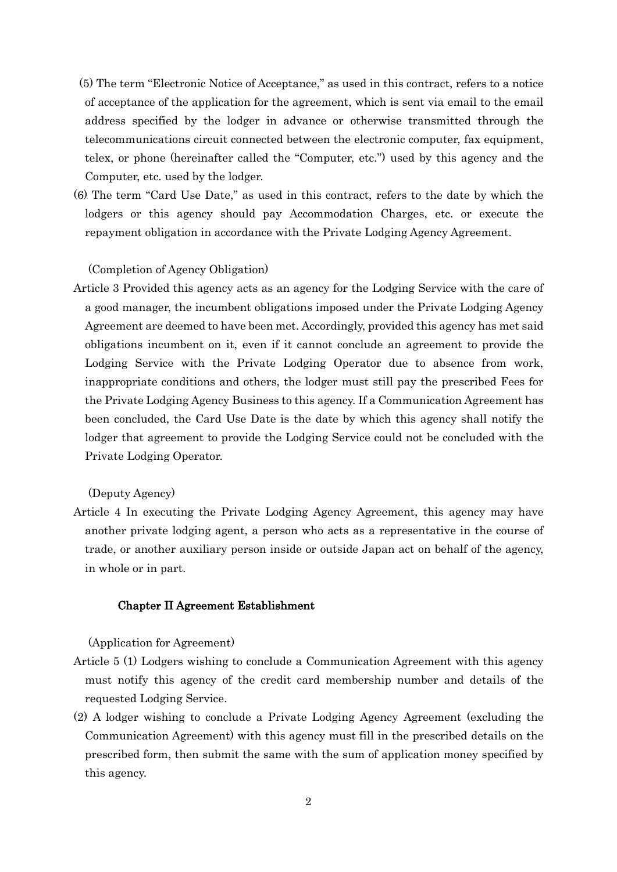- (5) The term "Electronic Notice of Acceptance," as used in this contract, refers to a notice of acceptance of the application for the agreement, which is sent via email to the email address specified by the lodger in advance or otherwise transmitted through the telecommunications circuit connected between the electronic computer, fax equipment, telex, or phone (hereinafter called the "Computer, etc.") used by this agency and the Computer, etc. used by the lodger.
- (6) The term "Card Use Date," as used in this contract, refers to the date by which the lodgers or this agency should pay Accommodation Charges, etc. or execute the repayment obligation in accordance with the Private Lodging Agency Agreement.

#### (Completion of Agency Obligation)

Article 3 Provided this agency acts as an agency for the Lodging Service with the care of a good manager, the incumbent obligations imposed under the Private Lodging Agency Agreement are deemed to have been met. Accordingly, provided this agency has met said obligations incumbent on it, even if it cannot conclude an agreement to provide the Lodging Service with the Private Lodging Operator due to absence from work, inappropriate conditions and others, the lodger must still pay the prescribed Fees for the Private Lodging Agency Business to this agency. If a Communication Agreement has been concluded, the Card Use Date is the date by which this agency shall notify the lodger that agreement to provide the Lodging Service could not be concluded with the Private Lodging Operator.

(Deputy Agency)

Article 4 In executing the Private Lodging Agency Agreement, this agency may have another private lodging agent, a person who acts as a representative in the course of trade, or another auxiliary person inside or outside Japan act on behalf of the agency, in whole or in part.

#### Chapter II Agreement Establishment

(Application for Agreement)

- Article 5 (1) Lodgers wishing to conclude a Communication Agreement with this agency must notify this agency of the credit card membership number and details of the requested Lodging Service.
- (2) A lodger wishing to conclude a Private Lodging Agency Agreement (excluding the Communication Agreement) with this agency must fill in the prescribed details on the prescribed form, then submit the same with the sum of application money specified by this agency.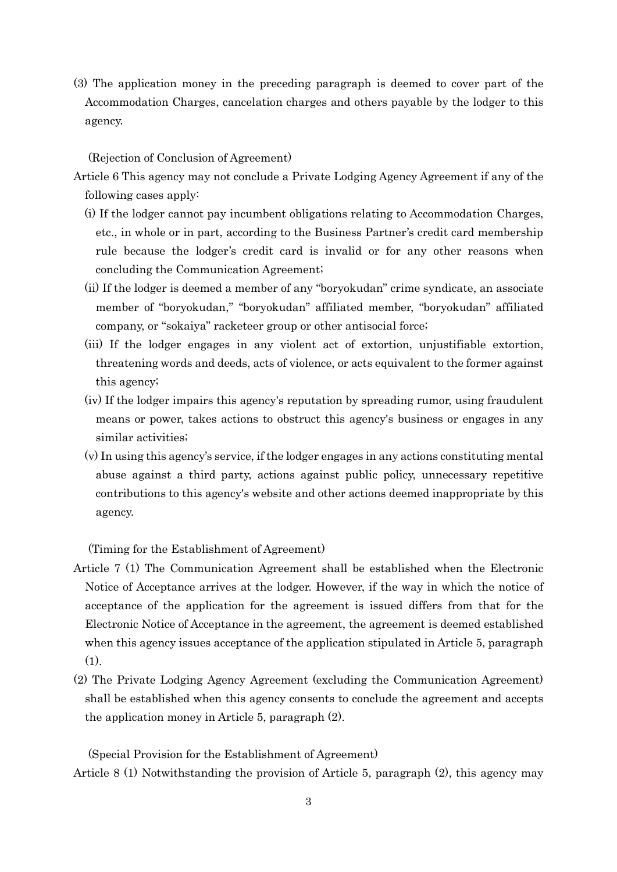(3) The application money in the preceding paragraph is deemed to cover part of the Accommodation Charges, cancelation charges and others payable by the lodger to this agency.

#### (Rejection of Conclusion of Agreement)

- Article 6 This agency may not conclude a Private Lodging Agency Agreement if any of the following cases apply:
	- (i) If the lodger cannot pay incumbent obligations relating to Accommodation Charges, etc., in whole or in part, according to the Business Partner's credit card membership rule because the lodger's credit card is invalid or for any other reasons when concluding the Communication Agreement;
	- (ii) If the lodger is deemed a member of any "boryokudan" crime syndicate, an associate member of "boryokudan," "boryokudan" affiliated member, "boryokudan" affiliated company, or "sokaiya" racketeer group or other antisocial force;
	- (iii) If the lodger engages in any violent act of extortion, unjustifiable extortion, threatening words and deeds, acts of violence, or acts equivalent to the former against this agency;
	- (iv) If the lodger impairs this agency's reputation by spreading rumor, using fraudulent means or power, takes actions to obstruct this agency's business or engages in any similar activities;
	- (v) In using this agency's service, if the lodger engages in any actions constituting mental abuse against a third party, actions against public policy, unnecessary repetitive contributions to this agency's website and other actions deemed inappropriate by this agency.

(Timing for the Establishment of Agreement)

- Article 7 (1) The Communication Agreement shall be established when the Electronic Notice of Acceptance arrives at the lodger. However, if the way in which the notice of acceptance of the application for the agreement is issued differs from that for the Electronic Notice of Acceptance in the agreement, the agreement is deemed established when this agency issues acceptance of the application stipulated in Article 5, paragraph (1).
- (2) The Private Lodging Agency Agreement (excluding the Communication Agreement) shall be established when this agency consents to conclude the agreement and accepts the application money in Article 5, paragraph (2).

(Special Provision for the Establishment of Agreement)

Article 8 (1) Notwithstanding the provision of Article 5, paragraph (2), this agency may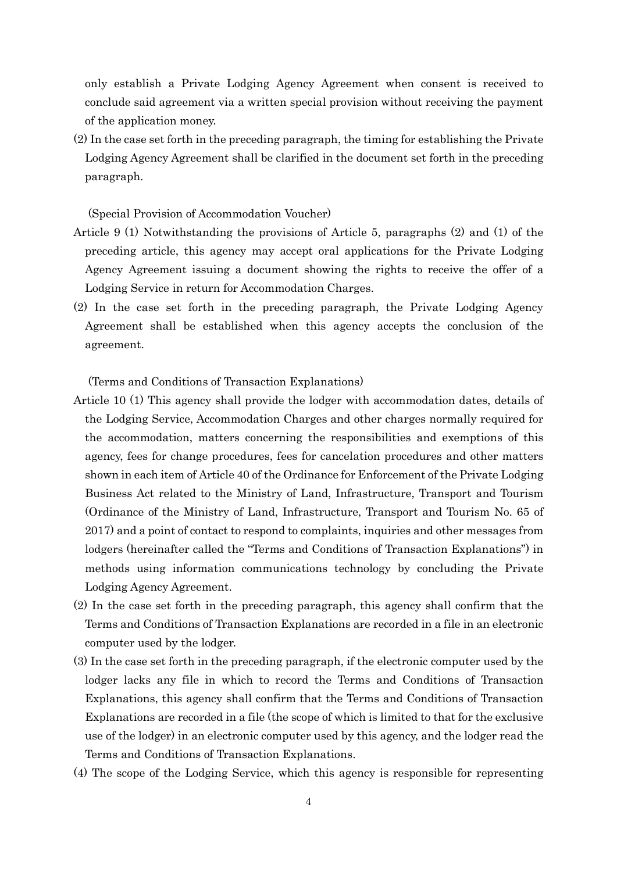only establish a Private Lodging Agency Agreement when consent is received to conclude said agreement via a written special provision without receiving the payment of the application money.

(2) In the case set forth in the preceding paragraph, the timing for establishing the Private Lodging Agency Agreement shall be clarified in the document set forth in the preceding paragraph.

(Special Provision of Accommodation Voucher)

- Article 9 (1) Notwithstanding the provisions of Article 5, paragraphs (2) and (1) of the preceding article, this agency may accept oral applications for the Private Lodging Agency Agreement issuing a document showing the rights to receive the offer of a Lodging Service in return for Accommodation Charges.
- (2) In the case set forth in the preceding paragraph, the Private Lodging Agency Agreement shall be established when this agency accepts the conclusion of the agreement.

(Terms and Conditions of Transaction Explanations)

- Article 10 (1) This agency shall provide the lodger with accommodation dates, details of the Lodging Service, Accommodation Charges and other charges normally required for the accommodation, matters concerning the responsibilities and exemptions of this agency, fees for change procedures, fees for cancelation procedures and other matters shown in each item of Article 40 of the Ordinance for Enforcement of the Private Lodging Business Act related to the Ministry of Land, Infrastructure, Transport and Tourism (Ordinance of the Ministry of Land, Infrastructure, Transport and Tourism No. 65 of 2017) and a point of contact to respond to complaints, inquiries and other messages from lodgers (hereinafter called the "Terms and Conditions of Transaction Explanations") in methods using information communications technology by concluding the Private Lodging Agency Agreement.
- (2) In the case set forth in the preceding paragraph, this agency shall confirm that the Terms and Conditions of Transaction Explanations are recorded in a file in an electronic computer used by the lodger.
- (3) In the case set forth in the preceding paragraph, if the electronic computer used by the lodger lacks any file in which to record the Terms and Conditions of Transaction Explanations, this agency shall confirm that the Terms and Conditions of Transaction Explanations are recorded in a file (the scope of which is limited to that for the exclusive use of the lodger) in an electronic computer used by this agency, and the lodger read the Terms and Conditions of Transaction Explanations.
- (4) The scope of the Lodging Service, which this agency is responsible for representing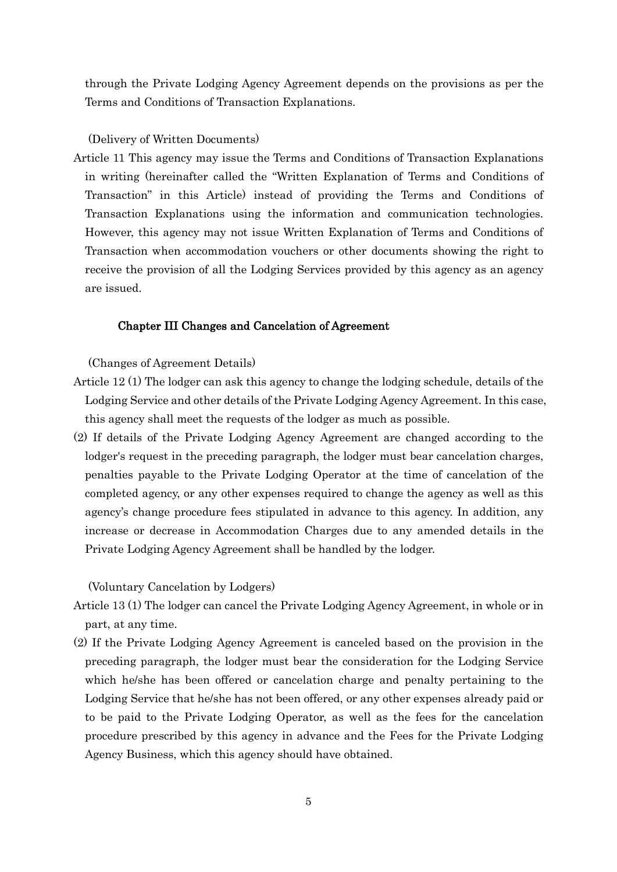through the Private Lodging Agency Agreement depends on the provisions as per the Terms and Conditions of Transaction Explanations.

## (Delivery of Written Documents)

Article 11 This agency may issue the Terms and Conditions of Transaction Explanations in writing (hereinafter called the "Written Explanation of Terms and Conditions of Transaction" in this Article) instead of providing the Terms and Conditions of Transaction Explanations using the information and communication technologies. However, this agency may not issue Written Explanation of Terms and Conditions of Transaction when accommodation vouchers or other documents showing the right to receive the provision of all the Lodging Services provided by this agency as an agency are issued.

## Chapter III Changes and Cancelation of Agreement

(Changes of Agreement Details)

- Article 12 (1) The lodger can ask this agency to change the lodging schedule, details of the Lodging Service and other details of the Private Lodging Agency Agreement. In this case, this agency shall meet the requests of the lodger as much as possible.
- (2) If details of the Private Lodging Agency Agreement are changed according to the lodger's request in the preceding paragraph, the lodger must bear cancelation charges, penalties payable to the Private Lodging Operator at the time of cancelation of the completed agency, or any other expenses required to change the agency as well as this agency's change procedure fees stipulated in advance to this agency. In addition, any increase or decrease in Accommodation Charges due to any amended details in the Private Lodging Agency Agreement shall be handled by the lodger.

(Voluntary Cancelation by Lodgers)

- Article 13 (1) The lodger can cancel the Private Lodging Agency Agreement, in whole or in part, at any time.
- (2) If the Private Lodging Agency Agreement is canceled based on the provision in the preceding paragraph, the lodger must bear the consideration for the Lodging Service which he/she has been offered or cancelation charge and penalty pertaining to the Lodging Service that he/she has not been offered, or any other expenses already paid or to be paid to the Private Lodging Operator, as well as the fees for the cancelation procedure prescribed by this agency in advance and the Fees for the Private Lodging Agency Business, which this agency should have obtained.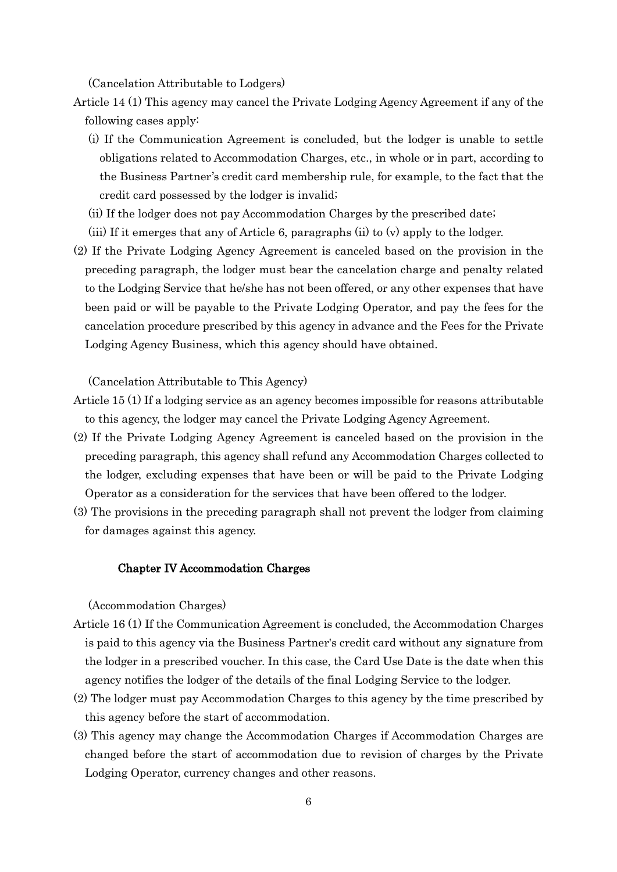(Cancelation Attributable to Lodgers)

- Article 14 (1) This agency may cancel the Private Lodging Agency Agreement if any of the following cases apply:
	- (i) If the Communication Agreement is concluded, but the lodger is unable to settle obligations related to Accommodation Charges, etc., in whole or in part, according to the Business Partner's credit card membership rule, for example, to the fact that the credit card possessed by the lodger is invalid;
	- (ii) If the lodger does not pay Accommodation Charges by the prescribed date;
	- (iii) If it emerges that any of Article 6, paragraphs (ii) to (v) apply to the lodger.
- (2) If the Private Lodging Agency Agreement is canceled based on the provision in the preceding paragraph, the lodger must bear the cancelation charge and penalty related to the Lodging Service that he/she has not been offered, or any other expenses that have been paid or will be payable to the Private Lodging Operator, and pay the fees for the cancelation procedure prescribed by this agency in advance and the Fees for the Private Lodging Agency Business, which this agency should have obtained.

(Cancelation Attributable to This Agency)

- Article 15 (1) If a lodging service as an agency becomes impossible for reasons attributable to this agency, the lodger may cancel the Private Lodging Agency Agreement.
- (2) If the Private Lodging Agency Agreement is canceled based on the provision in the preceding paragraph, this agency shall refund any Accommodation Charges collected to the lodger, excluding expenses that have been or will be paid to the Private Lodging Operator as a consideration for the services that have been offered to the lodger.
- (3) The provisions in the preceding paragraph shall not prevent the lodger from claiming for damages against this agency.

#### Chapter IV Accommodation Charges

(Accommodation Charges)

- Article 16 (1) If the Communication Agreement is concluded, the Accommodation Charges is paid to this agency via the Business Partner's credit card without any signature from the lodger in a prescribed voucher. In this case, the Card Use Date is the date when this agency notifies the lodger of the details of the final Lodging Service to the lodger.
- (2) The lodger must pay Accommodation Charges to this agency by the time prescribed by this agency before the start of accommodation.
- (3) This agency may change the Accommodation Charges if Accommodation Charges are changed before the start of accommodation due to revision of charges by the Private Lodging Operator, currency changes and other reasons.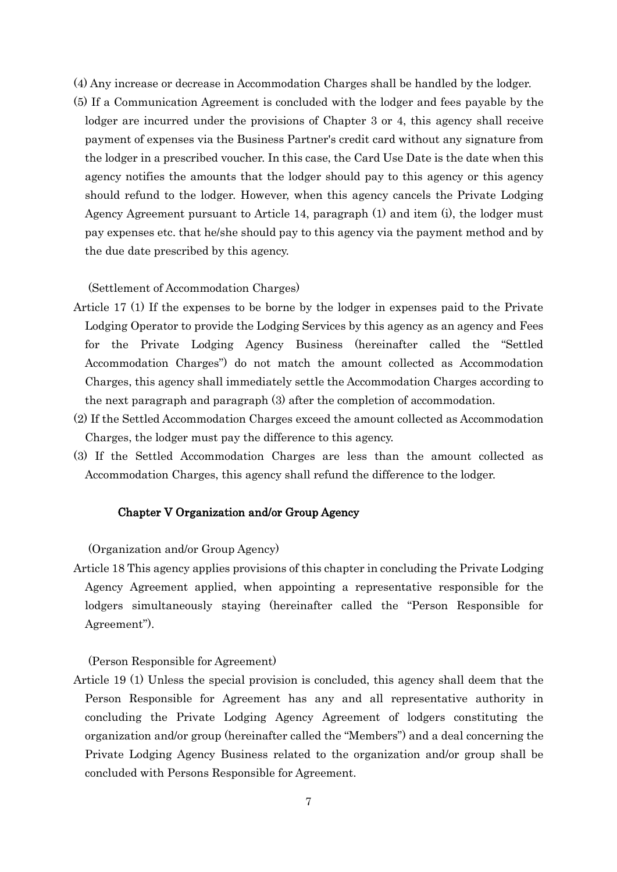- (4) Any increase or decrease in Accommodation Charges shall be handled by the lodger.
- (5) If a Communication Agreement is concluded with the lodger and fees payable by the lodger are incurred under the provisions of Chapter 3 or 4, this agency shall receive payment of expenses via the Business Partner's credit card without any signature from the lodger in a prescribed voucher. In this case, the Card Use Date is the date when this agency notifies the amounts that the lodger should pay to this agency or this agency should refund to the lodger. However, when this agency cancels the Private Lodging Agency Agreement pursuant to Article 14, paragraph (1) and item (i), the lodger must pay expenses etc. that he/she should pay to this agency via the payment method and by the due date prescribed by this agency.

#### (Settlement of Accommodation Charges)

- Article 17 (1) If the expenses to be borne by the lodger in expenses paid to the Private Lodging Operator to provide the Lodging Services by this agency as an agency and Fees for the Private Lodging Agency Business (hereinafter called the "Settled Accommodation Charges") do not match the amount collected as Accommodation Charges, this agency shall immediately settle the Accommodation Charges according to the next paragraph and paragraph (3) after the completion of accommodation.
- (2) If the Settled Accommodation Charges exceed the amount collected as Accommodation Charges, the lodger must pay the difference to this agency.
- (3) If the Settled Accommodation Charges are less than the amount collected as Accommodation Charges, this agency shall refund the difference to the lodger.

#### Chapter V Organization and/or Group Agency

(Organization and/or Group Agency)

Article 18 This agency applies provisions of this chapter in concluding the Private Lodging Agency Agreement applied, when appointing a representative responsible for the lodgers simultaneously staying (hereinafter called the "Person Responsible for Agreement").

(Person Responsible for Agreement)

Article 19 (1) Unless the special provision is concluded, this agency shall deem that the Person Responsible for Agreement has any and all representative authority in concluding the Private Lodging Agency Agreement of lodgers constituting the organization and/or group (hereinafter called the "Members") and a deal concerning the Private Lodging Agency Business related to the organization and/or group shall be concluded with Persons Responsible for Agreement.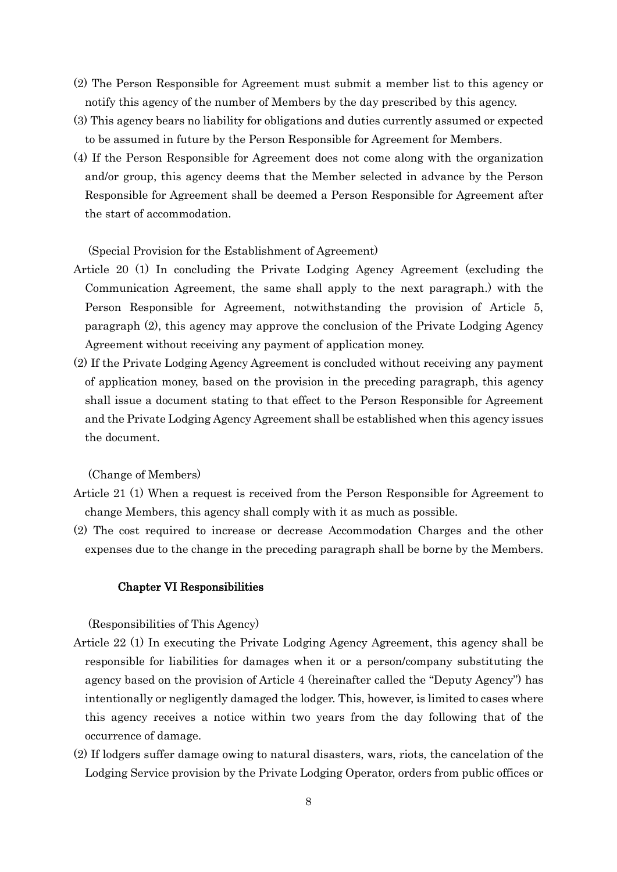- (2) The Person Responsible for Agreement must submit a member list to this agency or notify this agency of the number of Members by the day prescribed by this agency.
- (3) This agency bears no liability for obligations and duties currently assumed or expected to be assumed in future by the Person Responsible for Agreement for Members.
- (4) If the Person Responsible for Agreement does not come along with the organization and/or group, this agency deems that the Member selected in advance by the Person Responsible for Agreement shall be deemed a Person Responsible for Agreement after the start of accommodation.

(Special Provision for the Establishment of Agreement)

- Article 20 (1) In concluding the Private Lodging Agency Agreement (excluding the Communication Agreement, the same shall apply to the next paragraph.) with the Person Responsible for Agreement, notwithstanding the provision of Article 5, paragraph (2), this agency may approve the conclusion of the Private Lodging Agency Agreement without receiving any payment of application money.
- (2) If the Private Lodging Agency Agreement is concluded without receiving any payment of application money, based on the provision in the preceding paragraph, this agency shall issue a document stating to that effect to the Person Responsible for Agreement and the Private Lodging Agency Agreement shall be established when this agency issues the document.

(Change of Members)

- Article 21 (1) When a request is received from the Person Responsible for Agreement to change Members, this agency shall comply with it as much as possible.
- (2) The cost required to increase or decrease Accommodation Charges and the other expenses due to the change in the preceding paragraph shall be borne by the Members.

#### Chapter VI Responsibilities

(Responsibilities of This Agency)

- Article 22 (1) In executing the Private Lodging Agency Agreement, this agency shall be responsible for liabilities for damages when it or a person/company substituting the agency based on the provision of Article 4 (hereinafter called the "Deputy Agency") has intentionally or negligently damaged the lodger. This, however, is limited to cases where this agency receives a notice within two years from the day following that of the occurrence of damage.
- (2) If lodgers suffer damage owing to natural disasters, wars, riots, the cancelation of the Lodging Service provision by the Private Lodging Operator, orders from public offices or